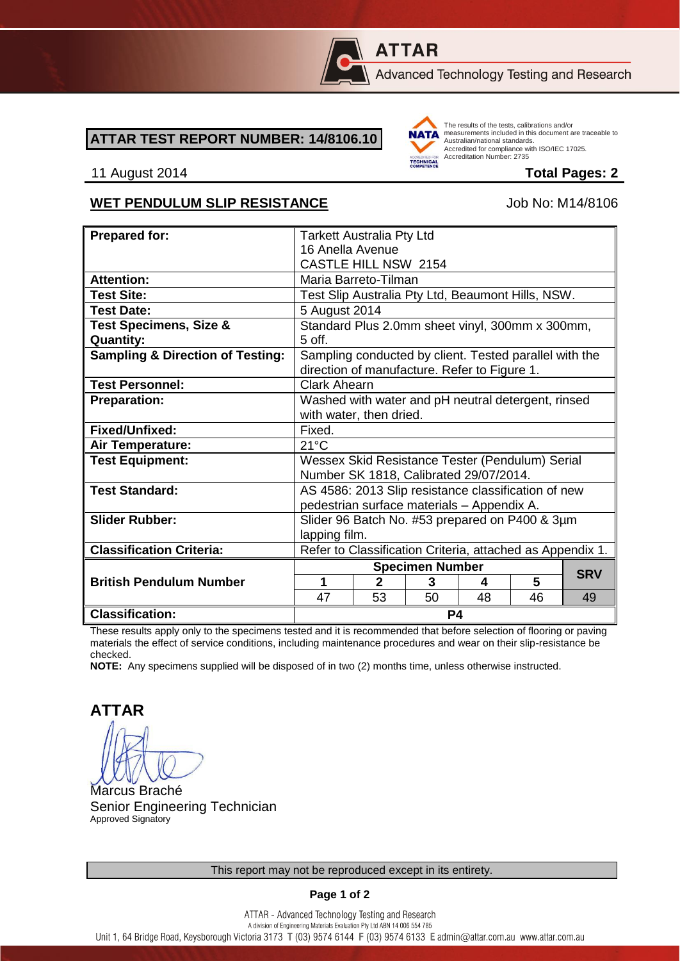

# **ATTAR**

Advanced Technology Testing and Research

#### **ATTAR TEST REPORT NUMBER: 14/8106.10**



The results of the tests, calibrations and/or measurements included in this document are traceable to Australian/national standards. Additional Midtonian Standards.<br>Accredited for compliance with ISO/IEC 17025. Accreditation Number: 2735

#### 11 August 2014 **Total Pages: 2**

### WET PENDULUM SLIP RESISTANCE Job No: M14/8106

| <b>Prepared for:</b>                        | <b>Tarkett Australia Pty Ltd</b>                                                                       |                |    |    |    |            |
|---------------------------------------------|--------------------------------------------------------------------------------------------------------|----------------|----|----|----|------------|
|                                             | 16 Anella Avenue                                                                                       |                |    |    |    |            |
|                                             | <b>CASTLE HILL NSW 2154</b>                                                                            |                |    |    |    |            |
| <b>Attention:</b>                           | Maria Barreto-Tilman                                                                                   |                |    |    |    |            |
| <b>Test Site:</b>                           | Test Slip Australia Pty Ltd, Beaumont Hills, NSW.                                                      |                |    |    |    |            |
| <b>Test Date:</b>                           | 5 August 2014                                                                                          |                |    |    |    |            |
| <b>Test Specimens, Size &amp;</b>           | Standard Plus 2.0mm sheet vinyl, 300mm x 300mm,                                                        |                |    |    |    |            |
| <b>Quantity:</b>                            | $5$ off.                                                                                               |                |    |    |    |            |
| <b>Sampling &amp; Direction of Testing:</b> | Sampling conducted by client. Tested parallel with the<br>direction of manufacture. Refer to Figure 1. |                |    |    |    |            |
| <b>Test Personnel:</b>                      | <b>Clark Ahearn</b>                                                                                    |                |    |    |    |            |
| <b>Preparation:</b>                         | Washed with water and pH neutral detergent, rinsed                                                     |                |    |    |    |            |
|                                             | with water, then dried.                                                                                |                |    |    |    |            |
| Fixed/Unfixed:                              | Fixed.                                                                                                 |                |    |    |    |            |
| Air Temperature:                            | $21^{\circ}$ C                                                                                         |                |    |    |    |            |
| <b>Test Equipment:</b>                      | Wessex Skid Resistance Tester (Pendulum) Serial                                                        |                |    |    |    |            |
|                                             | Number SK 1818, Calibrated 29/07/2014.                                                                 |                |    |    |    |            |
| <b>Test Standard:</b>                       | AS 4586: 2013 Slip resistance classification of new                                                    |                |    |    |    |            |
|                                             | pedestrian surface materials - Appendix A.                                                             |                |    |    |    |            |
| <b>Slider Rubber:</b>                       | Slider 96 Batch No. #53 prepared on P400 & 3µm                                                         |                |    |    |    |            |
|                                             | lapping film.                                                                                          |                |    |    |    |            |
| <b>Classification Criteria:</b>             | Refer to Classification Criteria, attached as Appendix 1.                                              |                |    |    |    |            |
|                                             | <b>Specimen Number</b>                                                                                 |                |    |    |    |            |
| <b>British Pendulum Number</b>              | 1                                                                                                      | $\mathfrak{p}$ | 3  | 4  | 5  | <b>SRV</b> |
|                                             | 47                                                                                                     | 53             | 50 | 48 | 46 | 49         |
| <b>Classification:</b>                      | P4                                                                                                     |                |    |    |    |            |

These results apply only to the specimens tested and it is recommended that before selection of flooring or paving materials the effect of service conditions, including maintenance procedures and wear on their slip-resistance be checked.

**NOTE:** Any specimens supplied will be disposed of in two (2) months time, unless otherwise instructed.

**ATTAR**

Marcus Braché Senior Engineering Technician Approved Signatory

**Page 1 of 2**